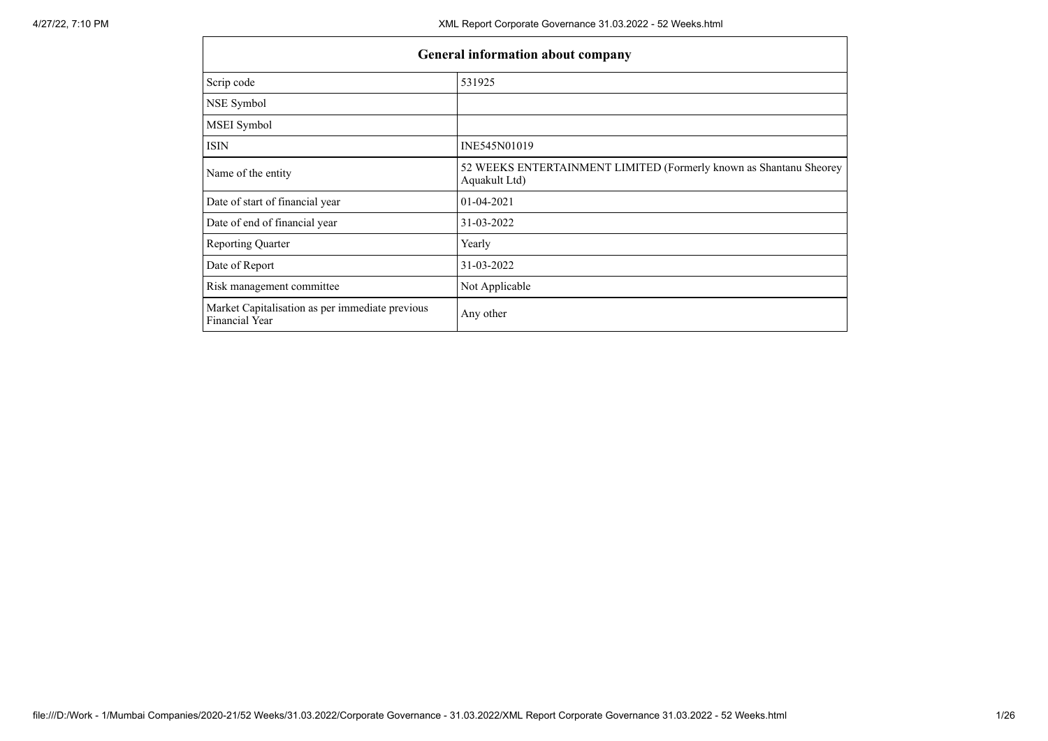| <b>General information about company</b>                                 |                                                                                     |  |  |  |  |  |
|--------------------------------------------------------------------------|-------------------------------------------------------------------------------------|--|--|--|--|--|
| Scrip code                                                               | 531925                                                                              |  |  |  |  |  |
| NSE Symbol                                                               |                                                                                     |  |  |  |  |  |
| MSEI Symbol                                                              |                                                                                     |  |  |  |  |  |
| <b>ISIN</b>                                                              | INE545N01019                                                                        |  |  |  |  |  |
| Name of the entity                                                       | 52 WEEKS ENTERTAINMENT LIMITED (Formerly known as Shantanu Sheorey<br>Aquakult Ltd) |  |  |  |  |  |
| Date of start of financial year                                          | 01-04-2021                                                                          |  |  |  |  |  |
| Date of end of financial year                                            | 31-03-2022                                                                          |  |  |  |  |  |
| <b>Reporting Quarter</b>                                                 | Yearly                                                                              |  |  |  |  |  |
| Date of Report                                                           | 31-03-2022                                                                          |  |  |  |  |  |
| Risk management committee                                                | Not Applicable                                                                      |  |  |  |  |  |
| Market Capitalisation as per immediate previous<br><b>Financial Year</b> | Any other                                                                           |  |  |  |  |  |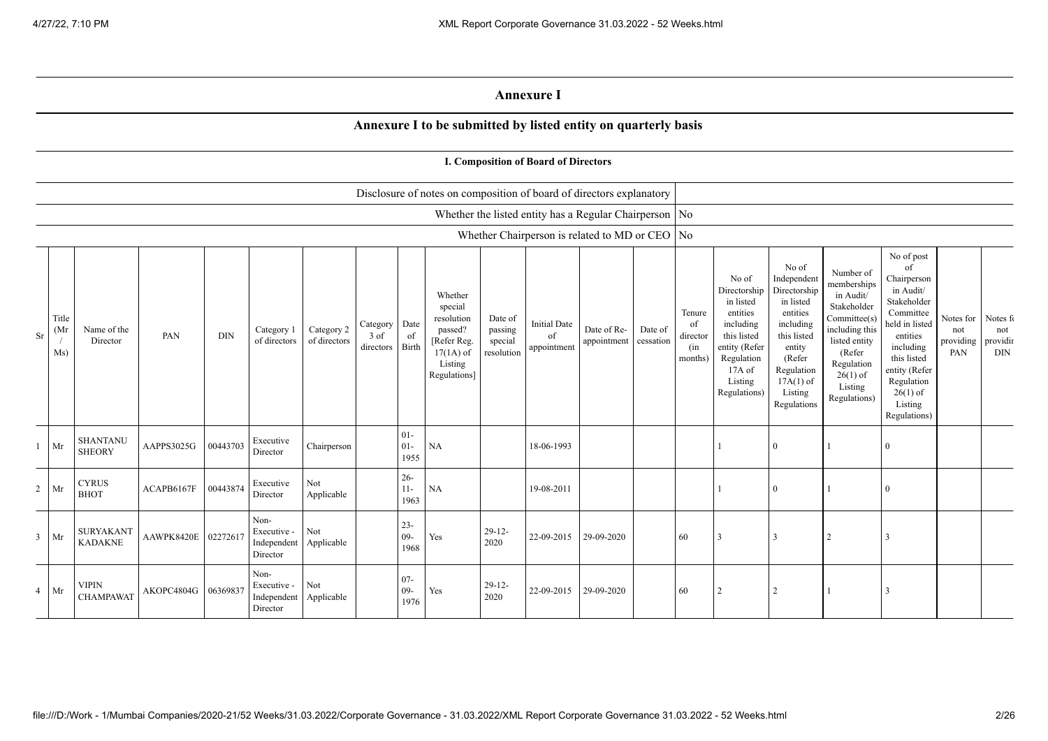## **Annexure I**

## **Annexure I to be submitted by listed entity on quarterly basis**

|                |                      |                                    |                     |            |                                                |                            |                                 |                          |                                                                                                      |                                             | I. Composition of Board of Directors                     |                            |                      |                                            |                                                                                                                                                |                                                                                                                                                                      |                                                                                                                                                                          |                                                                                                                                                                                                            |                                      |                                           |
|----------------|----------------------|------------------------------------|---------------------|------------|------------------------------------------------|----------------------------|---------------------------------|--------------------------|------------------------------------------------------------------------------------------------------|---------------------------------------------|----------------------------------------------------------|----------------------------|----------------------|--------------------------------------------|------------------------------------------------------------------------------------------------------------------------------------------------|----------------------------------------------------------------------------------------------------------------------------------------------------------------------|--------------------------------------------------------------------------------------------------------------------------------------------------------------------------|------------------------------------------------------------------------------------------------------------------------------------------------------------------------------------------------------------|--------------------------------------|-------------------------------------------|
|                |                      |                                    |                     |            |                                                |                            |                                 |                          | Disclosure of notes on composition of board of directors explanatory                                 |                                             |                                                          |                            |                      |                                            |                                                                                                                                                |                                                                                                                                                                      |                                                                                                                                                                          |                                                                                                                                                                                                            |                                      |                                           |
|                |                      |                                    |                     |            |                                                |                            |                                 |                          |                                                                                                      |                                             | Whether the listed entity has a Regular Chairperson   No |                            |                      |                                            |                                                                                                                                                |                                                                                                                                                                      |                                                                                                                                                                          |                                                                                                                                                                                                            |                                      |                                           |
|                |                      |                                    |                     |            |                                                |                            |                                 |                          |                                                                                                      |                                             | Whether Chairperson is related to MD or CEO   No         |                            |                      |                                            |                                                                                                                                                |                                                                                                                                                                      |                                                                                                                                                                          |                                                                                                                                                                                                            |                                      |                                           |
| Sr             | Title<br>(Mr)<br>Ms) | Name of the<br>Director            | PAN                 | <b>DIN</b> | Category 1<br>of directors                     | Category 2<br>of directors | Category<br>$3$ of<br>directors | Date<br>of<br>Birth      | Whether<br>special<br>resolution<br>passed?<br>[Refer Reg.<br>$17(1A)$ of<br>Listing<br>Regulations] | Date of<br>passing<br>special<br>resolution | <b>Initial Date</b><br>of<br>appointment                 | Date of Re-<br>appointment | Date of<br>cessation | Tenure<br>of<br>director<br>(in<br>months) | No of<br>Directorship<br>in listed<br>entities<br>including<br>this listed<br>entity (Refer<br>Regulation<br>17A of<br>Listing<br>Regulations) | No of<br>Independent<br>Directorship<br>in listed<br>entities<br>including<br>this listed<br>entity<br>(Refer<br>Regulation<br>$17A(1)$ of<br>Listing<br>Regulations | Number of<br>memberships<br>in Audit/<br>Stakeholder<br>Committee(s)<br>including this<br>listed entity<br>(Refer<br>Regulation<br>$26(1)$ of<br>Listing<br>Regulations) | No of post<br>of<br>Chairperson<br>in Audit/<br>Stakeholder<br>Committee<br>held in listed<br>entities<br>including<br>this listed<br>entity (Refer<br>Regulation<br>$26(1)$ of<br>Listing<br>Regulations) | Notes for<br>not<br>providing<br>PAN | Notes fo<br>not<br>providir<br><b>DIN</b> |
|                | Mr                   | <b>SHANTANU</b><br><b>SHEORY</b>   | AAPPS3025G          | 00443703   | Executive<br>Director                          | Chairperson                |                                 | $01-$<br>$01 -$<br>1955  | NA                                                                                                   |                                             | 18-06-1993                                               |                            |                      |                                            |                                                                                                                                                | $\mathbf{0}$                                                                                                                                                         |                                                                                                                                                                          | $\overline{0}$                                                                                                                                                                                             |                                      |                                           |
| $\overline{2}$ | Mr                   | <b>CYRUS</b><br><b>BHOT</b>        | ACAPB6167F          | 00443874   | Executive<br>Director                          | Not<br>Applicable          |                                 | $26 -$<br>$11 -$<br>1963 | NA                                                                                                   |                                             | 19-08-2011                                               |                            |                      |                                            |                                                                                                                                                | $\theta$                                                                                                                                                             |                                                                                                                                                                          | 0                                                                                                                                                                                                          |                                      |                                           |
| $\overline{3}$ | Mr                   | <b>SURYAKANT</b><br><b>KADAKNE</b> | AAWPK8420E 02272617 |            | Non-<br>Executive -<br>Independent<br>Director | Not<br>Applicable          |                                 | $23 -$<br>$09-$<br>1968  | Yes                                                                                                  | $29-12-$<br>2020                            | 22-09-2015                                               | 29-09-2020                 |                      | 60                                         |                                                                                                                                                | 3                                                                                                                                                                    | $\overline{c}$                                                                                                                                                           | $\mathcal{R}$                                                                                                                                                                                              |                                      |                                           |
| $\overline{4}$ | Mr                   | <b>VIPIN</b><br><b>CHAMPAWAT</b>   | AKOPC4804G          | 06369837   | Non-<br>Executive -<br>Independent<br>Director | Not<br>Applicable          |                                 | $07 -$<br>$09-$<br>1976  | Yes                                                                                                  | $29-12$<br>2020                             | 22-09-2015                                               | 29-09-2020                 |                      | 60                                         |                                                                                                                                                | $\overline{2}$                                                                                                                                                       |                                                                                                                                                                          |                                                                                                                                                                                                            |                                      |                                           |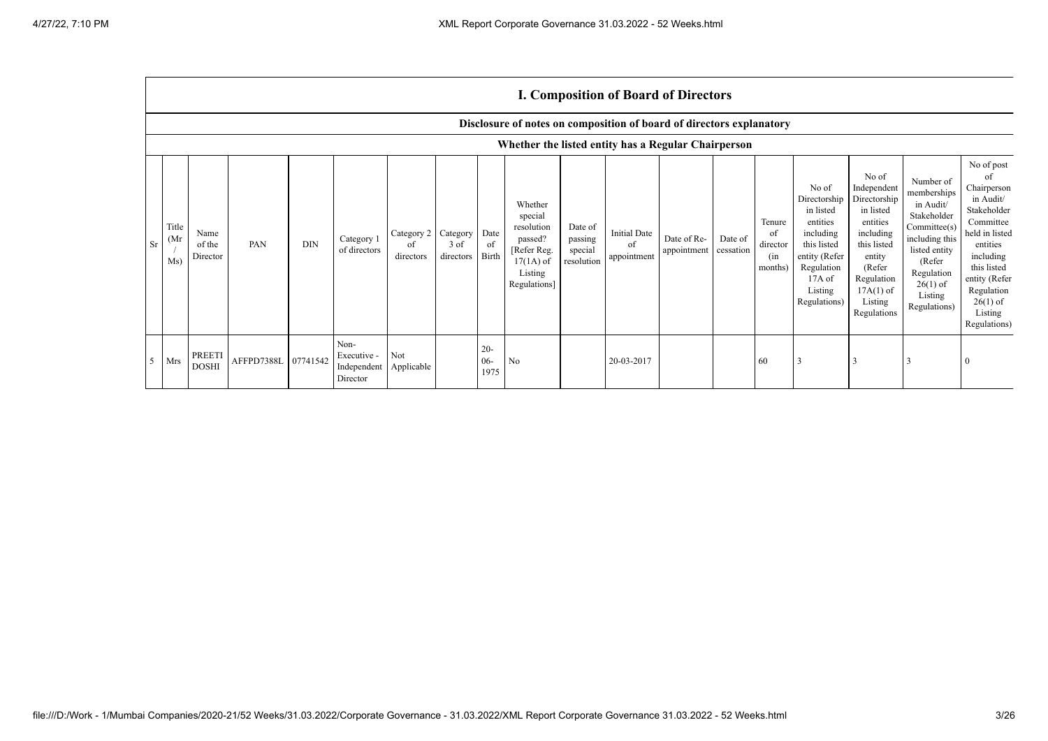$\Gamma$ 

|                |                      | <b>I. Composition of Board of Directors</b>                          |                     |            |                                                |                               |                                 |                          |                                                                                                      |                                             |                                          |                            |                      |                                            |                                                                                                                                                  |                                                                                                                                                                      |                                                                                                                                                                          |                                                                                                                                                                                                            |
|----------------|----------------------|----------------------------------------------------------------------|---------------------|------------|------------------------------------------------|-------------------------------|---------------------------------|--------------------------|------------------------------------------------------------------------------------------------------|---------------------------------------------|------------------------------------------|----------------------------|----------------------|--------------------------------------------|--------------------------------------------------------------------------------------------------------------------------------------------------|----------------------------------------------------------------------------------------------------------------------------------------------------------------------|--------------------------------------------------------------------------------------------------------------------------------------------------------------------------|------------------------------------------------------------------------------------------------------------------------------------------------------------------------------------------------------------|
|                |                      | Disclosure of notes on composition of board of directors explanatory |                     |            |                                                |                               |                                 |                          |                                                                                                      |                                             |                                          |                            |                      |                                            |                                                                                                                                                  |                                                                                                                                                                      |                                                                                                                                                                          |                                                                                                                                                                                                            |
|                |                      |                                                                      |                     |            |                                                |                               |                                 |                          | Whether the listed entity has a Regular Chairperson                                                  |                                             |                                          |                            |                      |                                            |                                                                                                                                                  |                                                                                                                                                                      |                                                                                                                                                                          |                                                                                                                                                                                                            |
| <b>Sr</b>      | Title<br>(Mr)<br>Ms) | Name<br>of the<br>Director                                           | PAN                 | <b>DIN</b> | Category 1<br>of directors                     | Category 2<br>οť<br>directors | Category<br>$3$ of<br>directors | Date<br>of<br>Birth      | Whether<br>special<br>resolution<br>passed?<br>[Refer Reg.<br>$17(1A)$ of<br>Listing<br>Regulations] | Date of<br>passing<br>special<br>resolution | <b>Initial Date</b><br>of<br>appointment | Date of Re-<br>appointment | Date of<br>cessation | Tenure<br>of<br>director<br>(in<br>months) | No of<br>Directorship<br>in listed<br>entities<br>including<br>this listed<br>entity (Refer<br>Regulation<br>$17A$ of<br>Listing<br>Regulations) | No of<br>Independent<br>Directorship<br>in listed<br>entities<br>including<br>this listed<br>entity<br>(Refer<br>Regulation<br>$17A(1)$ of<br>Listing<br>Regulations | Number of<br>memberships<br>in Audit/<br>Stakeholder<br>Committee(s)<br>including this<br>listed entity<br>(Refer<br>Regulation<br>$26(1)$ of<br>Listing<br>Regulations) | No of post<br>of<br>Chairperson<br>in Audit/<br>Stakeholder<br>Committee<br>held in listed<br>entities<br>including<br>this listed<br>entity (Refer<br>Regulation<br>$26(1)$ of<br>Listing<br>Regulations) |
| 5 <sup>5</sup> | Mrs                  | PREETI<br><b>DOSHI</b>                                               | AFFPD7388L 07741542 |            | Non-<br>Executive -<br>Independent<br>Director | Not<br>Applicable             |                                 | $20 -$<br>$06 -$<br>1975 | No                                                                                                   |                                             | 20-03-2017                               |                            |                      | 60                                         | 3                                                                                                                                                |                                                                                                                                                                      | 3                                                                                                                                                                        |                                                                                                                                                                                                            |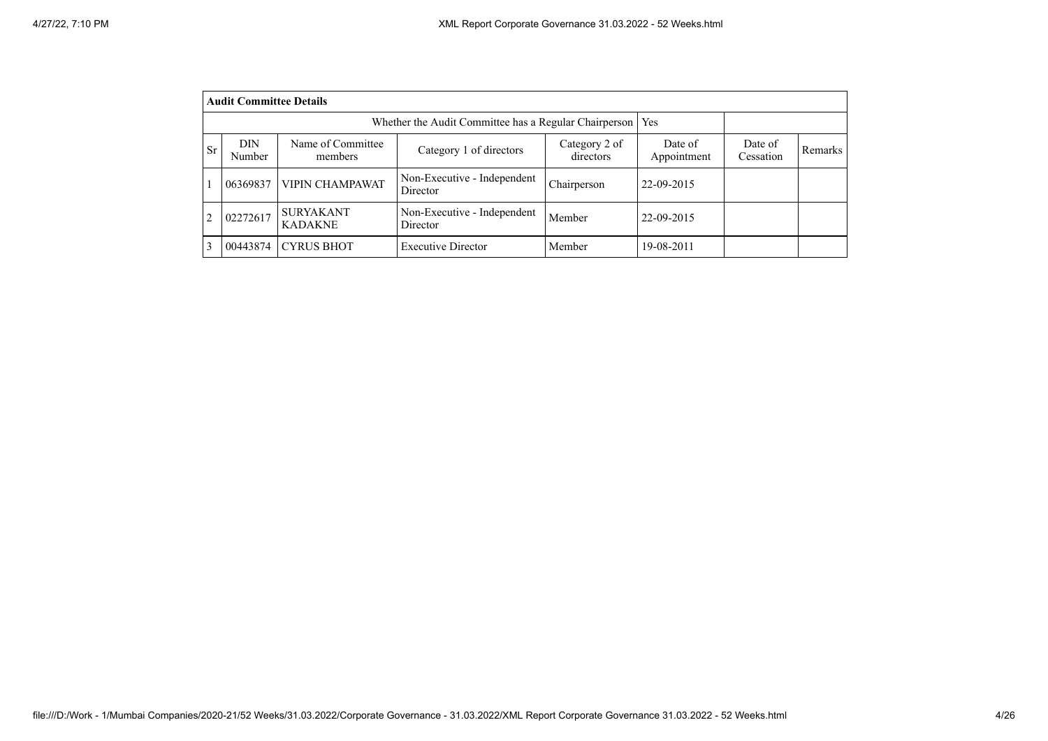|                | <b>Audit Committee Details</b>                                 |                                    |                                         |                            |                        |                      |                |  |  |  |
|----------------|----------------------------------------------------------------|------------------------------------|-----------------------------------------|----------------------------|------------------------|----------------------|----------------|--|--|--|
|                | Whether the Audit Committee has a Regular Chairperson  <br>Yes |                                    |                                         |                            |                        |                      |                |  |  |  |
| Sr             | DIN<br>Number                                                  | Name of Committee<br>members       | Category 1 of directors                 | Category 2 of<br>directors | Date of<br>Appointment | Date of<br>Cessation | <b>Remarks</b> |  |  |  |
|                | 06369837                                                       | <b>VIPIN CHAMPAWAT</b>             | Non-Executive - Independent<br>Director | Chairperson                | 22-09-2015             |                      |                |  |  |  |
| $\overline{c}$ | 02272617                                                       | <b>SURYAKANT</b><br><b>KADAKNE</b> | Non-Executive - Independent<br>Director | Member                     | 22-09-2015             |                      |                |  |  |  |
| 3              | 00443874                                                       | <b>CYRUS BHOT</b>                  | <b>Executive Director</b>               | Member                     | 19-08-2011             |                      |                |  |  |  |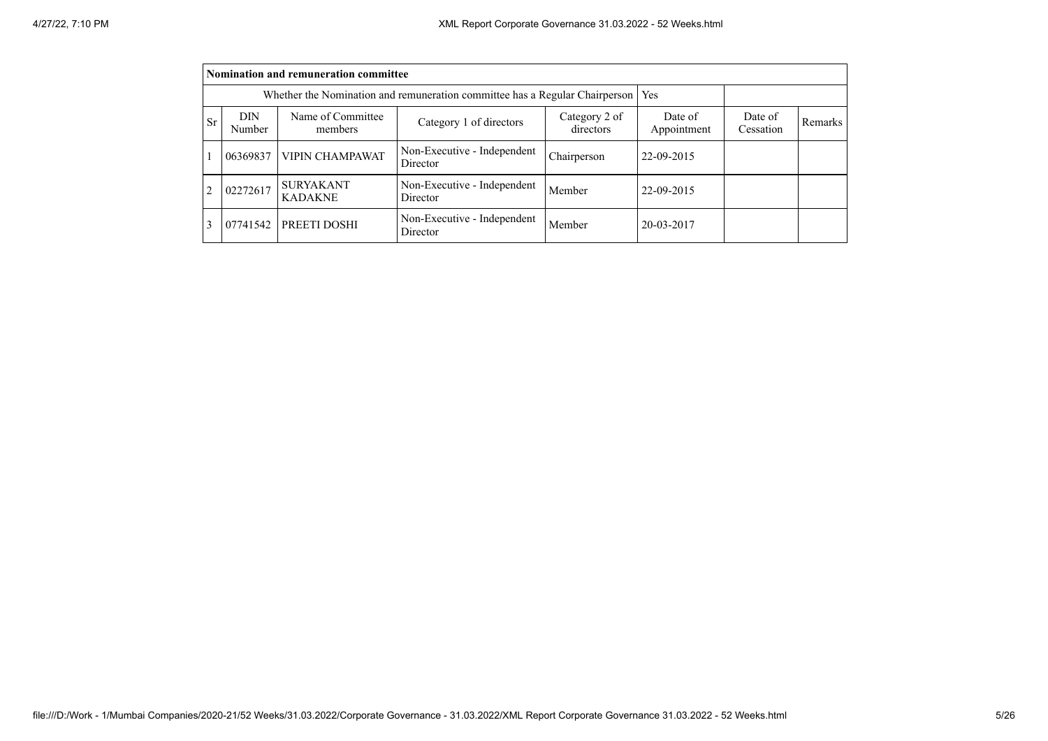|                | Nomination and remuneration committee                                       |                                    |                                         |                            |                        |                      |         |  |  |  |
|----------------|-----------------------------------------------------------------------------|------------------------------------|-----------------------------------------|----------------------------|------------------------|----------------------|---------|--|--|--|
|                | Whether the Nomination and remuneration committee has a Regular Chairperson | Yes                                |                                         |                            |                        |                      |         |  |  |  |
| <b>Sr</b>      | <b>DIN</b><br>Number                                                        | Name of Committee<br>members       | Category 1 of directors                 | Category 2 of<br>directors | Date of<br>Appointment | Date of<br>Cessation | Remarks |  |  |  |
| $\mathbf{1}$   | 06369837                                                                    | <b>VIPIN CHAMPAWAT</b>             | Non-Executive - Independent<br>Director | Chairperson                | 22-09-2015             |                      |         |  |  |  |
| $\overline{2}$ | 02272617                                                                    | <b>SURYAKANT</b><br><b>KADAKNE</b> | Non-Executive - Independent<br>Director | Member                     | 22-09-2015             |                      |         |  |  |  |
| 3              | 07741542                                                                    | PREETI DOSHI                       | Non-Executive - Independent<br>Director | Member                     | 20-03-2017             |                      |         |  |  |  |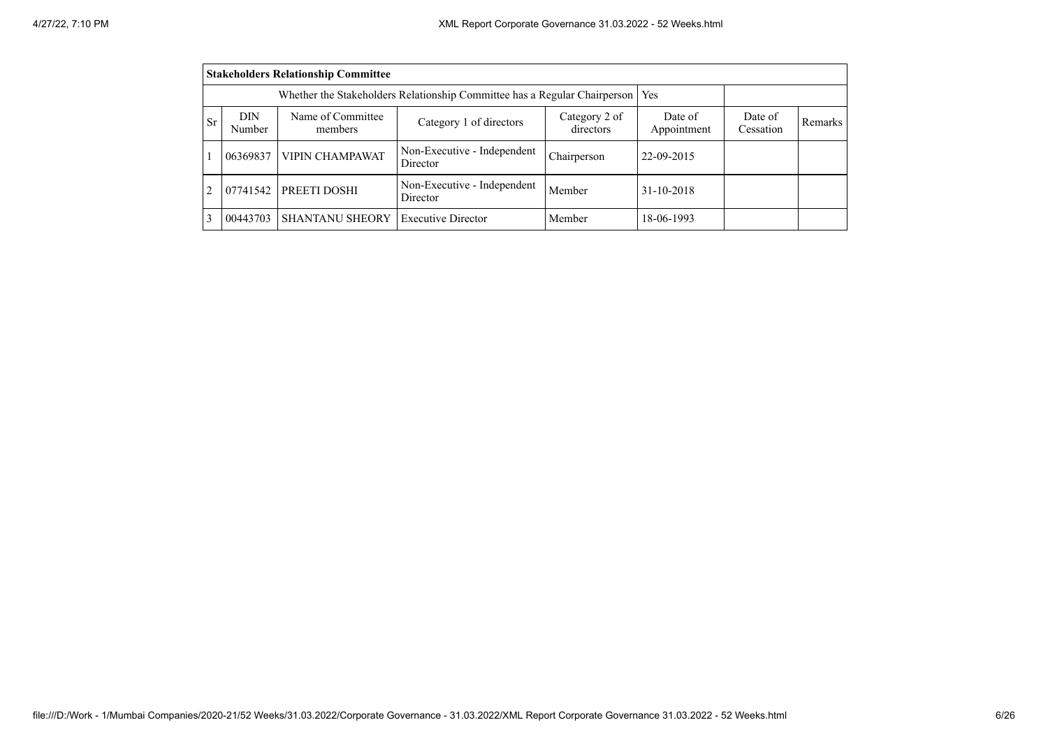|    | <b>Stakeholders Relationship Committee</b> |                        |                                         |             |            |  |  |  |  |  |
|----|--------------------------------------------|------------------------|-----------------------------------------|-------------|------------|--|--|--|--|--|
|    |                                            |                        |                                         |             |            |  |  |  |  |  |
| Sr | <b>DIN</b><br>Number                       | Date of<br>Cessation   | <b>Remarks</b>                          |             |            |  |  |  |  |  |
|    | 06369837                                   | <b>VIPIN CHAMPAWAT</b> | Non-Executive - Independent<br>Director | Chairperson | 22-09-2015 |  |  |  |  |  |
| 2  | 07741542                                   | <b>PREETI DOSHI</b>    | Non-Executive - Independent<br>Director | Member      | 31-10-2018 |  |  |  |  |  |
| 3  | 00443703                                   | <b>SHANTANU SHEORY</b> | <b>Executive Director</b>               | Member      | 18-06-1993 |  |  |  |  |  |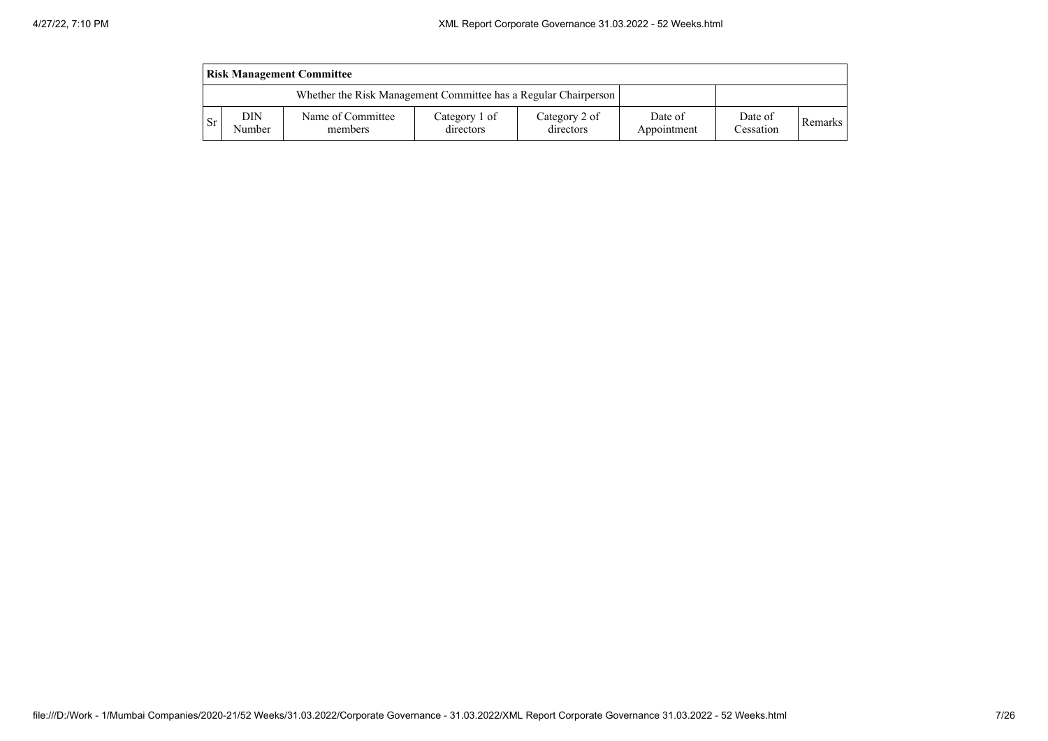| <b>Risk Management Committee</b> |               |                                                                 |                            |                            |                        |                      |         |  |  |
|----------------------------------|---------------|-----------------------------------------------------------------|----------------------------|----------------------------|------------------------|----------------------|---------|--|--|
|                                  |               | Whether the Risk Management Committee has a Regular Chairperson |                            |                            |                        |                      |         |  |  |
| -Sr                              | DIN<br>Number | Name of Committee<br>members                                    | Category 1 of<br>directors | Category 2 of<br>directors | Date of<br>Appointment | Date of<br>Cessation | Remarks |  |  |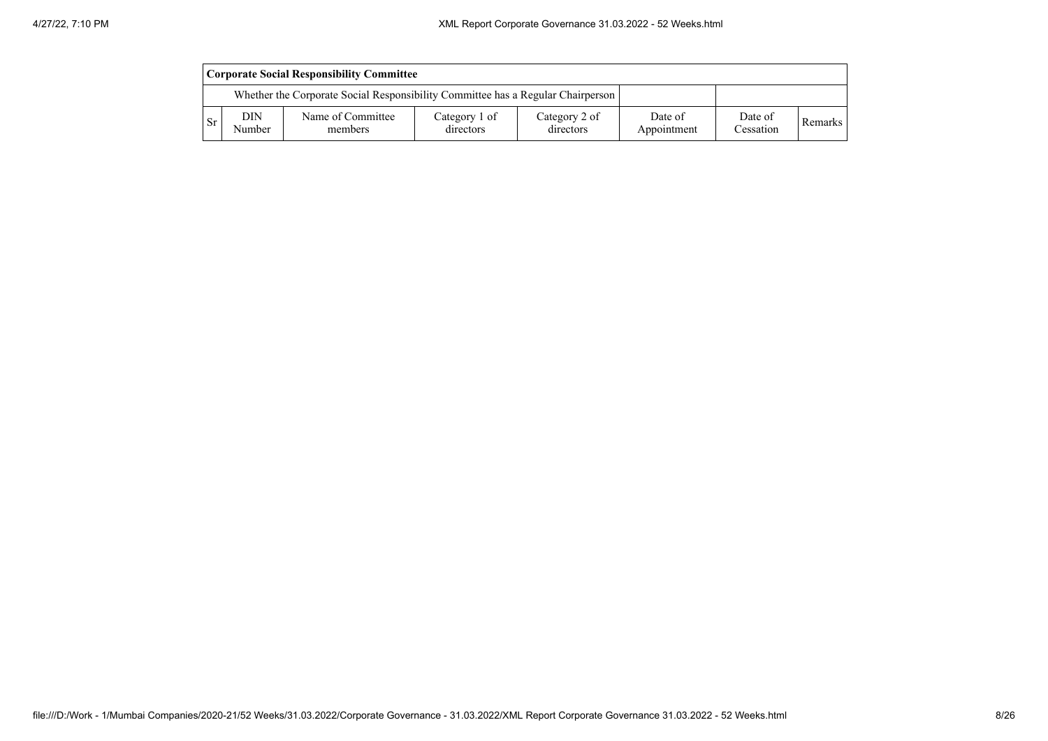|     | <b>Corporate Social Responsibility Committee</b> |                                                                                 |                            |                            |                        |                      |         |  |  |
|-----|--------------------------------------------------|---------------------------------------------------------------------------------|----------------------------|----------------------------|------------------------|----------------------|---------|--|--|
|     |                                                  | Whether the Corporate Social Responsibility Committee has a Regular Chairperson |                            |                            |                        |                      |         |  |  |
| -Sr | DIN<br>Number                                    | Name of Committee<br>members                                                    | Category 1 of<br>directors | Category 2 of<br>directors | Date of<br>Appointment | Date of<br>Cessation | Remarks |  |  |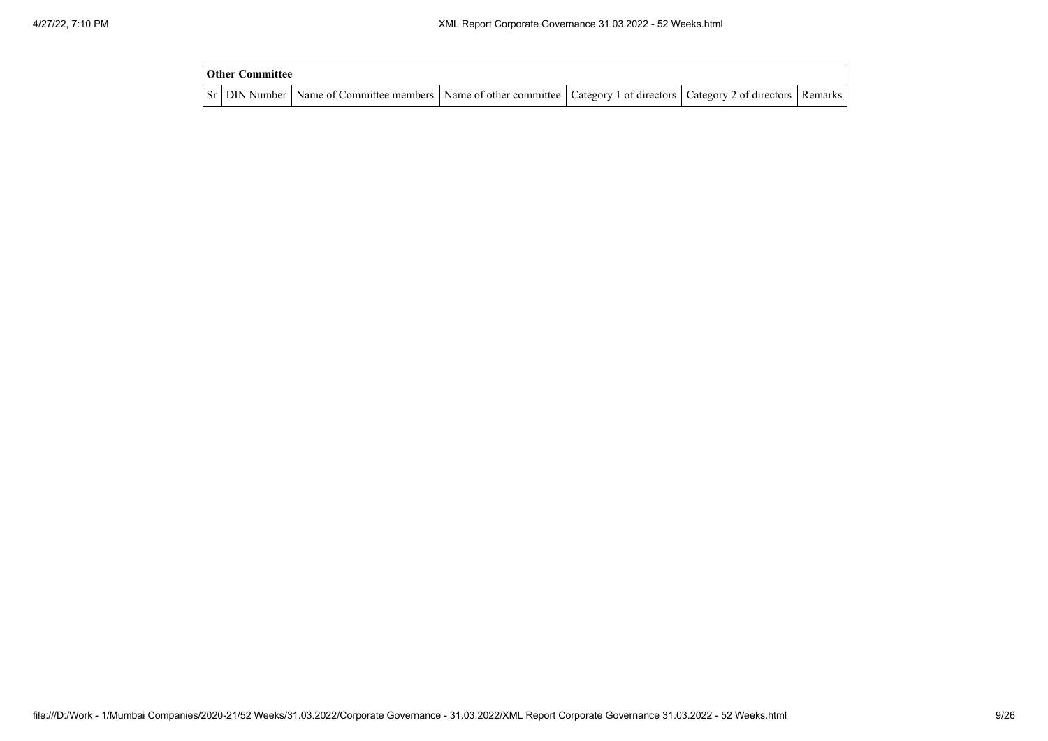| <b>Other Committee</b> |                                                                                                                                     |  |  |
|------------------------|-------------------------------------------------------------------------------------------------------------------------------------|--|--|
|                        | Sr   DIN Number   Name of Committee members   Name of other committee   Category 1 of directors   Category 2 of directors   Remarks |  |  |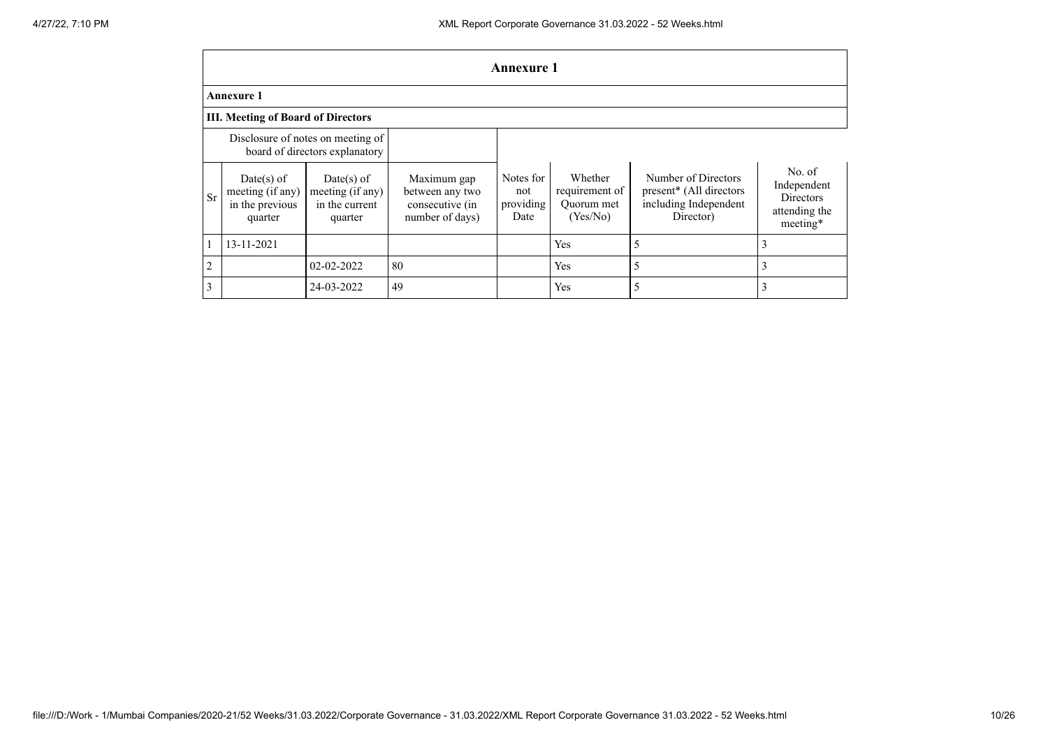|           | <b>Annexure 1</b>                                            |                                                                     |                                                                      |                                       |                                                     |                                                                                      |                                                                        |  |  |  |
|-----------|--------------------------------------------------------------|---------------------------------------------------------------------|----------------------------------------------------------------------|---------------------------------------|-----------------------------------------------------|--------------------------------------------------------------------------------------|------------------------------------------------------------------------|--|--|--|
|           | <b>Annexure 1</b>                                            |                                                                     |                                                                      |                                       |                                                     |                                                                                      |                                                                        |  |  |  |
|           | <b>III. Meeting of Board of Directors</b>                    |                                                                     |                                                                      |                                       |                                                     |                                                                                      |                                                                        |  |  |  |
|           |                                                              | Disclosure of notes on meeting of<br>board of directors explanatory |                                                                      |                                       |                                                     |                                                                                      |                                                                        |  |  |  |
| <b>Sr</b> | Date(s) of<br>meeting (if any)<br>in the previous<br>quarter | $Date(s)$ of<br>meeting (if any)<br>in the current<br>quarter       | Maximum gap<br>between any two<br>consecutive (in<br>number of days) | Notes for<br>not<br>providing<br>Date | Whether<br>requirement of<br>Quorum met<br>(Yes/No) | Number of Directors<br>present* (All directors<br>including Independent<br>Director) | No. of<br>Independent<br><b>Directors</b><br>attending the<br>meeting* |  |  |  |
|           | 13-11-2021                                                   |                                                                     |                                                                      |                                       | Yes                                                 | 5                                                                                    |                                                                        |  |  |  |
| 2         |                                                              | 02-02-2022                                                          | 80                                                                   |                                       | Yes                                                 | 5                                                                                    |                                                                        |  |  |  |
| 3         |                                                              | 24-03-2022                                                          | 49                                                                   |                                       | Yes                                                 | 5                                                                                    |                                                                        |  |  |  |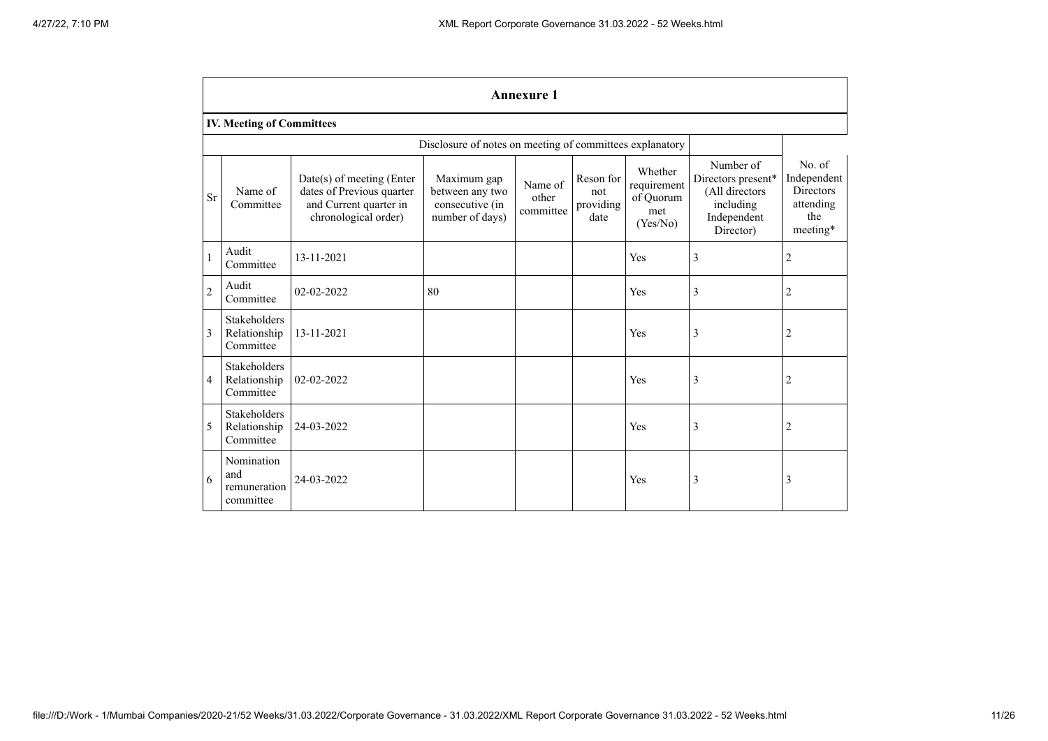|                | <b>Annexure 1</b>                                |                                                                                                            |                                                                      |                               |                                       |                                                        |                                                                                            |                                                                           |  |
|----------------|--------------------------------------------------|------------------------------------------------------------------------------------------------------------|----------------------------------------------------------------------|-------------------------------|---------------------------------------|--------------------------------------------------------|--------------------------------------------------------------------------------------------|---------------------------------------------------------------------------|--|
|                | <b>IV. Meeting of Committees</b>                 |                                                                                                            |                                                                      |                               |                                       |                                                        |                                                                                            |                                                                           |  |
|                |                                                  |                                                                                                            | Disclosure of notes on meeting of committees explanatory             |                               |                                       |                                                        |                                                                                            |                                                                           |  |
| <b>Sr</b>      | Name of<br>Committee                             | $Date(s)$ of meeting (Enter<br>dates of Previous quarter<br>and Current quarter in<br>chronological order) | Maximum gap<br>between any two<br>consecutive (in<br>number of days) | Name of<br>other<br>committee | Reson for<br>not<br>providing<br>date | Whether<br>requirement<br>of Quorum<br>met<br>(Yes/No) | Number of<br>Directors present*<br>(All directors<br>including<br>Independent<br>Director) | No. of<br>Independent<br><b>Directors</b><br>attending<br>the<br>meeting* |  |
| $\mathbf{1}$   | Audit<br>Committee                               | 13-11-2021                                                                                                 |                                                                      |                               |                                       | Yes                                                    | 3                                                                                          | $\overline{2}$                                                            |  |
| $\overline{2}$ | Audit<br>Committee                               | 02-02-2022                                                                                                 | 80                                                                   |                               |                                       | Yes                                                    | 3                                                                                          | $\overline{2}$                                                            |  |
| 3              | <b>Stakeholders</b><br>Relationship<br>Committee | 13-11-2021                                                                                                 |                                                                      |                               |                                       | Yes                                                    | 3                                                                                          | $\overline{2}$                                                            |  |
| $\overline{4}$ | <b>Stakeholders</b><br>Relationship<br>Committee | 02-02-2022                                                                                                 |                                                                      |                               |                                       | Yes                                                    | 3                                                                                          | $\overline{c}$                                                            |  |
| 5              | <b>Stakeholders</b><br>Relationship<br>Committee | 24-03-2022                                                                                                 |                                                                      |                               |                                       | Yes                                                    | 3                                                                                          | $\overline{2}$                                                            |  |
| 6              | Nomination<br>and<br>remuneration<br>committee   | 24-03-2022                                                                                                 |                                                                      |                               |                                       | Yes                                                    | 3                                                                                          | 3                                                                         |  |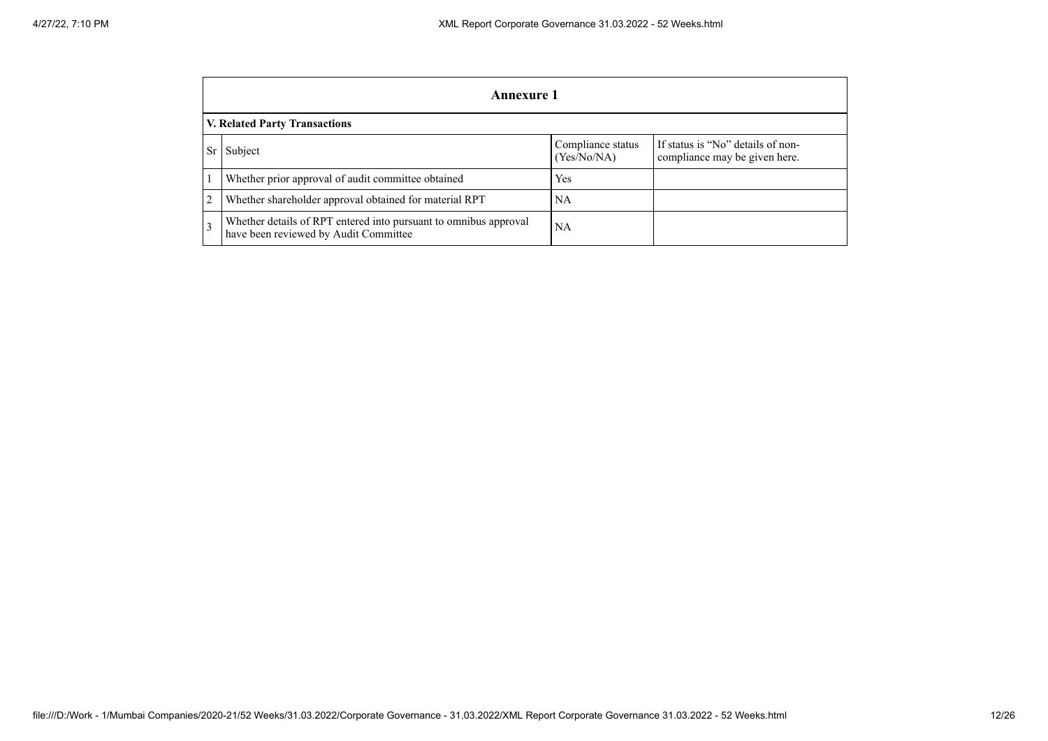|   | Annexure 1                                                                                                              |     |  |  |  |  |  |  |  |
|---|-------------------------------------------------------------------------------------------------------------------------|-----|--|--|--|--|--|--|--|
|   | V. Related Party Transactions                                                                                           |     |  |  |  |  |  |  |  |
|   | If status is "No" details of non-<br>Compliance status<br>Subject<br>Sr<br>(Yes/No/NA)<br>compliance may be given here. |     |  |  |  |  |  |  |  |
|   | Whether prior approval of audit committee obtained                                                                      | Yes |  |  |  |  |  |  |  |
| 2 | Whether shareholder approval obtained for material RPT                                                                  | NA  |  |  |  |  |  |  |  |
| 3 | Whether details of RPT entered into pursuant to omnibus approval<br>have been reviewed by Audit Committee               | NА  |  |  |  |  |  |  |  |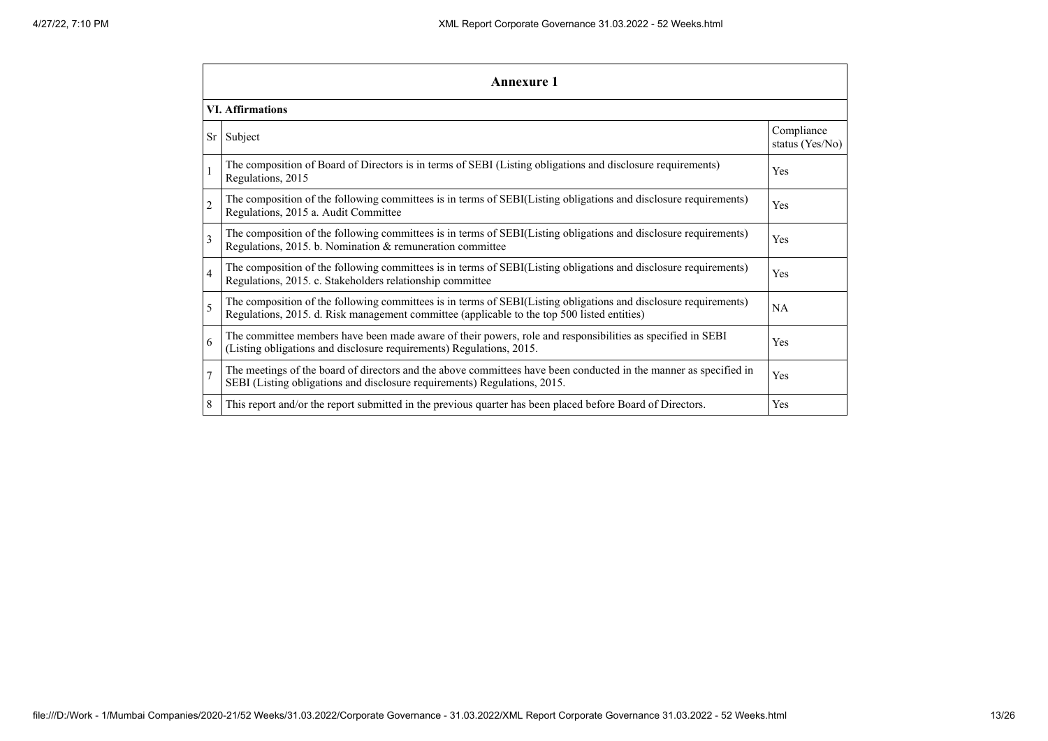|                | <b>Annexure 1</b>                                                                                                                                                                                               |                               |  |  |
|----------------|-----------------------------------------------------------------------------------------------------------------------------------------------------------------------------------------------------------------|-------------------------------|--|--|
|                | <b>VI.</b> Affirmations                                                                                                                                                                                         |                               |  |  |
| Sr             | Subject                                                                                                                                                                                                         | Compliance<br>status (Yes/No) |  |  |
|                | The composition of Board of Directors is in terms of SEBI (Listing obligations and disclosure requirements)<br>Regulations, 2015                                                                                | Yes                           |  |  |
| $\overline{c}$ | The composition of the following committees is in terms of SEBI(Listing obligations and disclosure requirements)<br>Regulations, 2015 a. Audit Committee                                                        | <b>Yes</b>                    |  |  |
| 3              | The composition of the following committees is in terms of SEBI(Listing obligations and disclosure requirements)<br>Regulations, 2015. b. Nomination & remuneration committee                                   | <b>Yes</b>                    |  |  |
| $\overline{4}$ | The composition of the following committees is in terms of SEBI(Listing obligations and disclosure requirements)<br>Regulations, 2015. c. Stakeholders relationship committee                                   | Yes                           |  |  |
| 5              | The composition of the following committees is in terms of SEBI(Listing obligations and disclosure requirements)<br>Regulations, 2015. d. Risk management committee (applicable to the top 500 listed entities) | <b>NA</b>                     |  |  |
| 6              | The committee members have been made aware of their powers, role and responsibilities as specified in SEBI<br>(Listing obligations and disclosure requirements) Regulations, 2015.                              | <b>Yes</b>                    |  |  |
| $\overline{7}$ | The meetings of the board of directors and the above committees have been conducted in the manner as specified in<br>SEBI (Listing obligations and disclosure requirements) Regulations, 2015.                  | Yes                           |  |  |
| 8              | This report and/or the report submitted in the previous quarter has been placed before Board of Directors.                                                                                                      | Yes                           |  |  |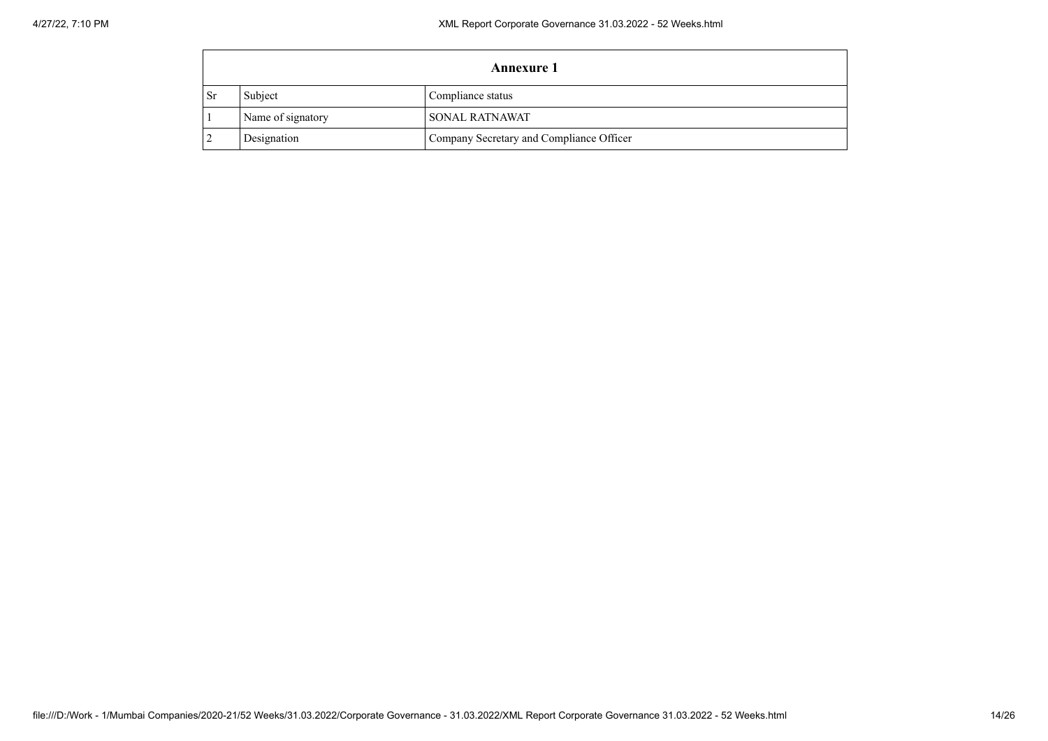|           | <b>Annexure 1</b> |                                          |  |  |
|-----------|-------------------|------------------------------------------|--|--|
| <b>Sr</b> | Subject           | Compliance status                        |  |  |
|           | Name of signatory | <b>SONAL RATNAWAT</b>                    |  |  |
|           | Designation       | Company Secretary and Compliance Officer |  |  |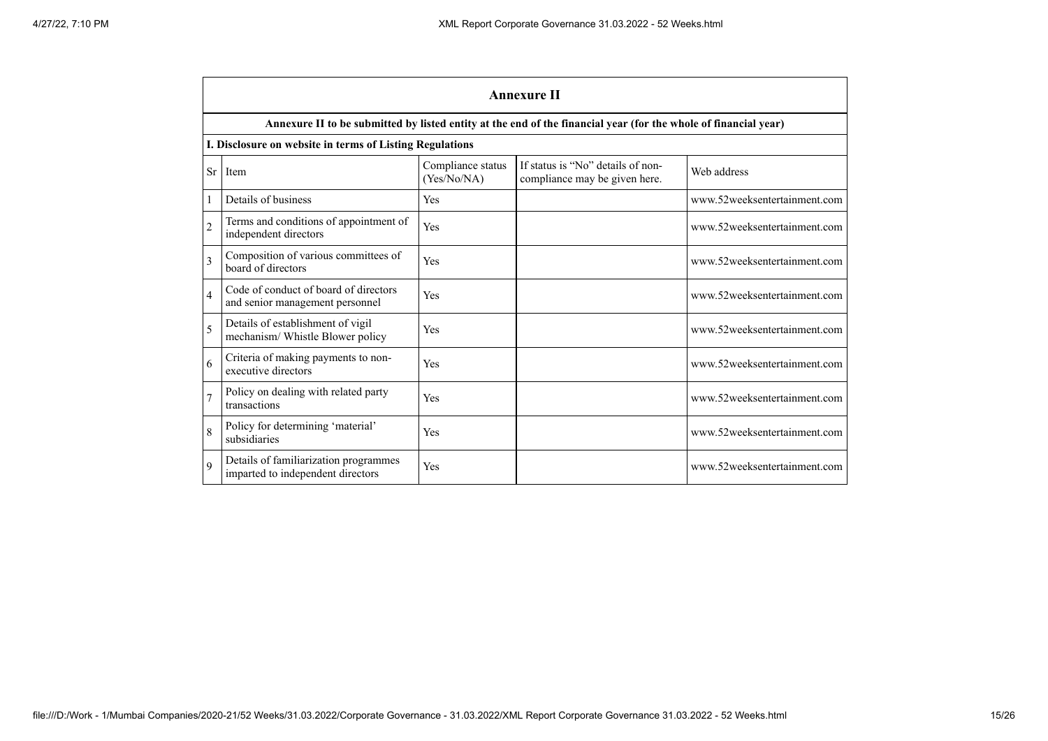|                | <b>Annexure II</b>                                                         |                                  |                                                                                                                 |                              |  |  |
|----------------|----------------------------------------------------------------------------|----------------------------------|-----------------------------------------------------------------------------------------------------------------|------------------------------|--|--|
|                |                                                                            |                                  | Annexure II to be submitted by listed entity at the end of the financial year (for the whole of financial year) |                              |  |  |
|                | I. Disclosure on website in terms of Listing Regulations                   |                                  |                                                                                                                 |                              |  |  |
| <b>Sr</b>      | Item                                                                       | Compliance status<br>(Yes/No/NA) | If status is "No" details of non-<br>compliance may be given here.                                              | Web address                  |  |  |
| 1              | Details of business                                                        | Yes                              |                                                                                                                 | www.52weeksentertainment.com |  |  |
| $\overline{c}$ | Terms and conditions of appointment of<br>independent directors            | Yes                              |                                                                                                                 | www.52weeksentertainment.com |  |  |
| 3              | Composition of various committees of<br>board of directors                 | Yes                              |                                                                                                                 | www.52weeksentertainment.com |  |  |
| $\overline{4}$ | Code of conduct of board of directors<br>and senior management personnel   | Yes                              |                                                                                                                 | www.52weeksentertainment.com |  |  |
| 5              | Details of establishment of vigil<br>mechanism/ Whistle Blower policy      | Yes                              |                                                                                                                 | www.52weeksentertainment.com |  |  |
| 6              | Criteria of making payments to non-<br>executive directors                 | Yes                              |                                                                                                                 | www.52weeksentertainment.com |  |  |
| 7              | Policy on dealing with related party<br>transactions                       | Yes                              |                                                                                                                 | www.52weeksentertainment.com |  |  |
| $\overline{8}$ | Policy for determining 'material'<br>subsidiaries                          | Yes                              |                                                                                                                 | www.52weeksentertainment.com |  |  |
| $\mathbf Q$    | Details of familiarization programmes<br>imparted to independent directors | Yes                              |                                                                                                                 | www.52weeksentertainment.com |  |  |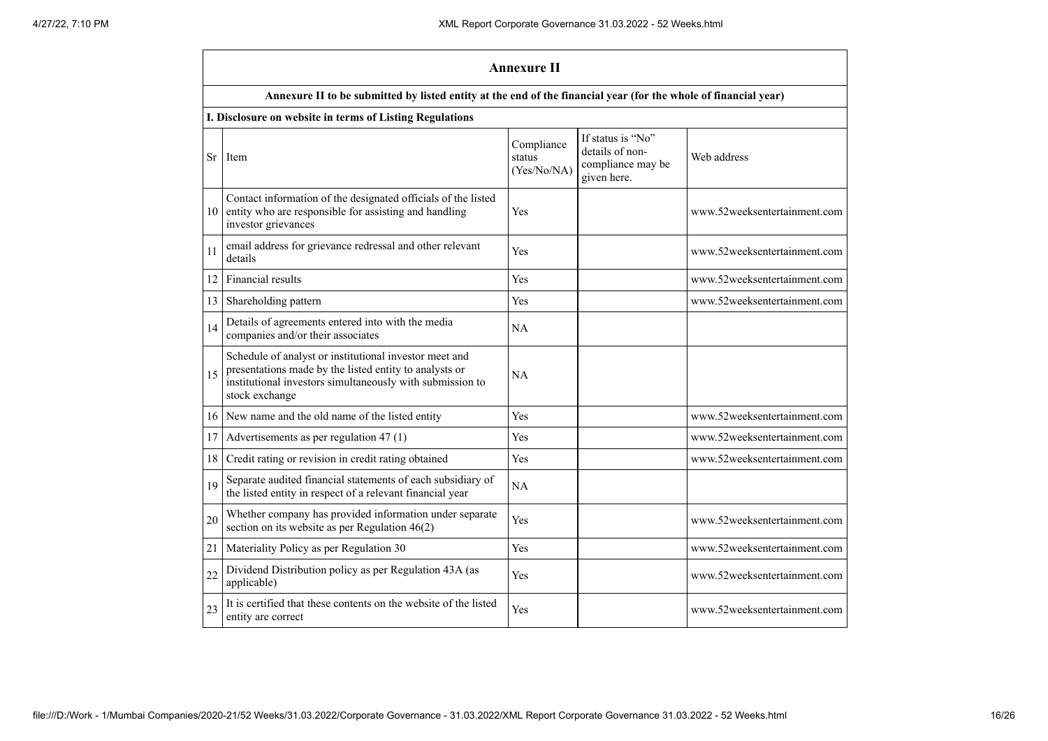|    | <b>Annexure II</b>                                                                                                                                                                              |                                     |                                                                          |                              |
|----|-------------------------------------------------------------------------------------------------------------------------------------------------------------------------------------------------|-------------------------------------|--------------------------------------------------------------------------|------------------------------|
|    | Annexure II to be submitted by listed entity at the end of the financial year (for the whole of financial year)                                                                                 |                                     |                                                                          |                              |
|    | I. Disclosure on website in terms of Listing Regulations                                                                                                                                        |                                     |                                                                          |                              |
|    | Sr I Item                                                                                                                                                                                       | Compliance<br>status<br>(Yes/No/NA) | If status is "No"<br>details of non-<br>compliance may be<br>given here. | Web address                  |
| 10 | Contact information of the designated officials of the listed<br>entity who are responsible for assisting and handling<br>investor grievances                                                   | Yes                                 |                                                                          | www.52weeksentertainment.com |
| 11 | email address for grievance redressal and other relevant<br>details                                                                                                                             | Yes                                 |                                                                          | www.52weeksentertainment.com |
| 12 | Financial results                                                                                                                                                                               | Yes                                 |                                                                          | www.52weeksentertainment.com |
| 13 | Shareholding pattern                                                                                                                                                                            | Yes                                 |                                                                          | www.52weeksentertainment.com |
| 14 | Details of agreements entered into with the media<br>companies and/or their associates                                                                                                          | <b>NA</b>                           |                                                                          |                              |
| 15 | Schedule of analyst or institutional investor meet and<br>presentations made by the listed entity to analysts or<br>institutional investors simultaneously with submission to<br>stock exchange | <b>NA</b>                           |                                                                          |                              |
| 16 | New name and the old name of the listed entity                                                                                                                                                  | Yes                                 |                                                                          | www.52weeksentertainment.com |
| 17 | Advertisements as per regulation 47 (1)                                                                                                                                                         | Yes                                 |                                                                          | www.52weeksentertainment.com |
| 18 | Credit rating or revision in credit rating obtained                                                                                                                                             | Yes                                 |                                                                          | www.52weeksentertainment.com |
| 19 | Separate audited financial statements of each subsidiary of<br>the listed entity in respect of a relevant financial year                                                                        | NA                                  |                                                                          |                              |
| 20 | Whether company has provided information under separate<br>section on its website as per Regulation $46(2)$                                                                                     | Yes                                 |                                                                          | www.52weeksentertainment.com |
| 21 | Materiality Policy as per Regulation 30                                                                                                                                                         | Yes                                 |                                                                          | www.52weeksentertainment.com |
| 22 | Dividend Distribution policy as per Regulation 43A (as<br>applicable)                                                                                                                           | Yes                                 |                                                                          | www.52weeksentertainment.com |
| 23 | It is certified that these contents on the website of the listed<br>entity are correct                                                                                                          | Yes                                 |                                                                          | www.52weeksentertainment.com |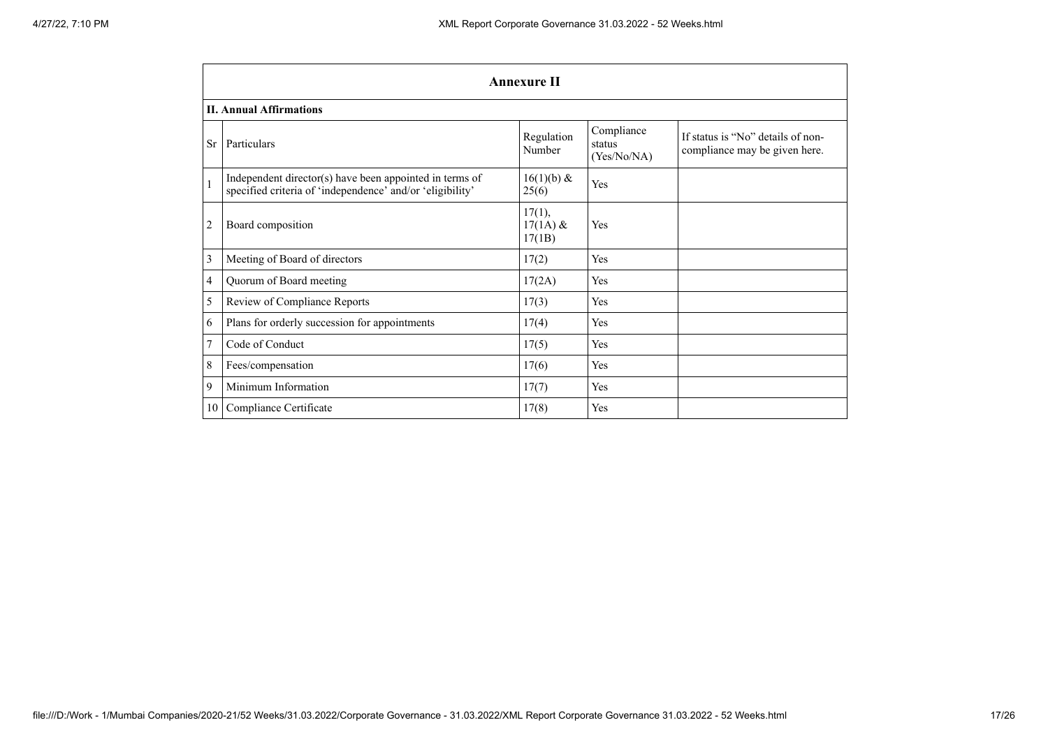|                | <b>Annexure II</b>                                                                                                   |                                |                                     |                                                                    |
|----------------|----------------------------------------------------------------------------------------------------------------------|--------------------------------|-------------------------------------|--------------------------------------------------------------------|
|                | <b>II. Annual Affirmations</b>                                                                                       |                                |                                     |                                                                    |
| <b>Sr</b>      | Particulars                                                                                                          | Regulation<br>Number           | Compliance<br>status<br>(Yes/No/NA) | If status is "No" details of non-<br>compliance may be given here. |
| $\mathbf{1}$   | Independent director(s) have been appointed in terms of<br>specified criteria of 'independence' and/or 'eligibility' | $16(1)(b)$ &<br>25(6)          | Yes                                 |                                                                    |
| $\overline{c}$ | Board composition                                                                                                    | 17(1),<br>$17(1A)$ &<br>17(1B) | Yes                                 |                                                                    |
| 3              | Meeting of Board of directors                                                                                        | 17(2)                          | Yes                                 |                                                                    |
| 4              | Quorum of Board meeting                                                                                              | 17(2A)                         | Yes                                 |                                                                    |
| 5              | Review of Compliance Reports                                                                                         | 17(3)                          | Yes                                 |                                                                    |
| 6              | Plans for orderly succession for appointments                                                                        | 17(4)                          | Yes                                 |                                                                    |
| $\overline{7}$ | Code of Conduct                                                                                                      | 17(5)                          | Yes                                 |                                                                    |
| 8              | Fees/compensation                                                                                                    | 17(6)                          | Yes                                 |                                                                    |
| 9              | Minimum Information                                                                                                  | 17(7)                          | Yes                                 |                                                                    |
| 10             | Compliance Certificate                                                                                               | 17(8)                          | Yes                                 |                                                                    |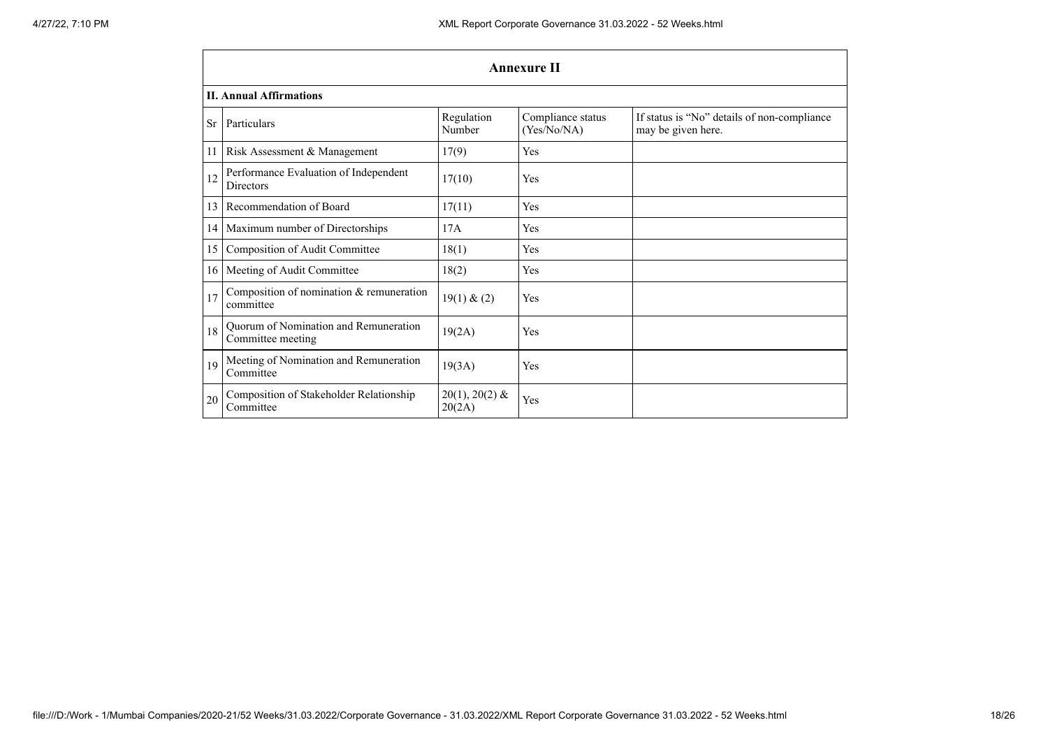|      | <b>Annexure II</b>                                         |                            |                                  |                                                                   |  |
|------|------------------------------------------------------------|----------------------------|----------------------------------|-------------------------------------------------------------------|--|
|      | <b>II. Annual Affirmations</b>                             |                            |                                  |                                                                   |  |
| Sr.  | Particulars                                                | Regulation<br>Number       | Compliance status<br>(Yes/No/NA) | If status is "No" details of non-compliance<br>may be given here. |  |
| 11   | Risk Assessment & Management                               | 17(9)                      | Yes                              |                                                                   |  |
| 12   | Performance Evaluation of Independent<br><b>Directors</b>  | 17(10)                     | Yes                              |                                                                   |  |
| 13   | Recommendation of Board                                    | 17(11)                     | Yes                              |                                                                   |  |
| 14   | Maximum number of Directorships                            | 17A                        | Yes                              |                                                                   |  |
| 15   | Composition of Audit Committee                             | 18(1)                      | Yes                              |                                                                   |  |
| 16 I | Meeting of Audit Committee                                 | 18(2)                      | Yes                              |                                                                   |  |
| 17   | Composition of nomination & remuneration<br>committee      | 19(1) & (2)                | Yes                              |                                                                   |  |
| 18   | Quorum of Nomination and Remuneration<br>Committee meeting | 19(2A)                     | Yes                              |                                                                   |  |
| 19   | Meeting of Nomination and Remuneration<br>Committee        | 19(3A)                     | Yes                              |                                                                   |  |
| 20   | Composition of Stakeholder Relationship<br>Committee       | $20(1), 20(2)$ &<br>20(2A) | Yes                              |                                                                   |  |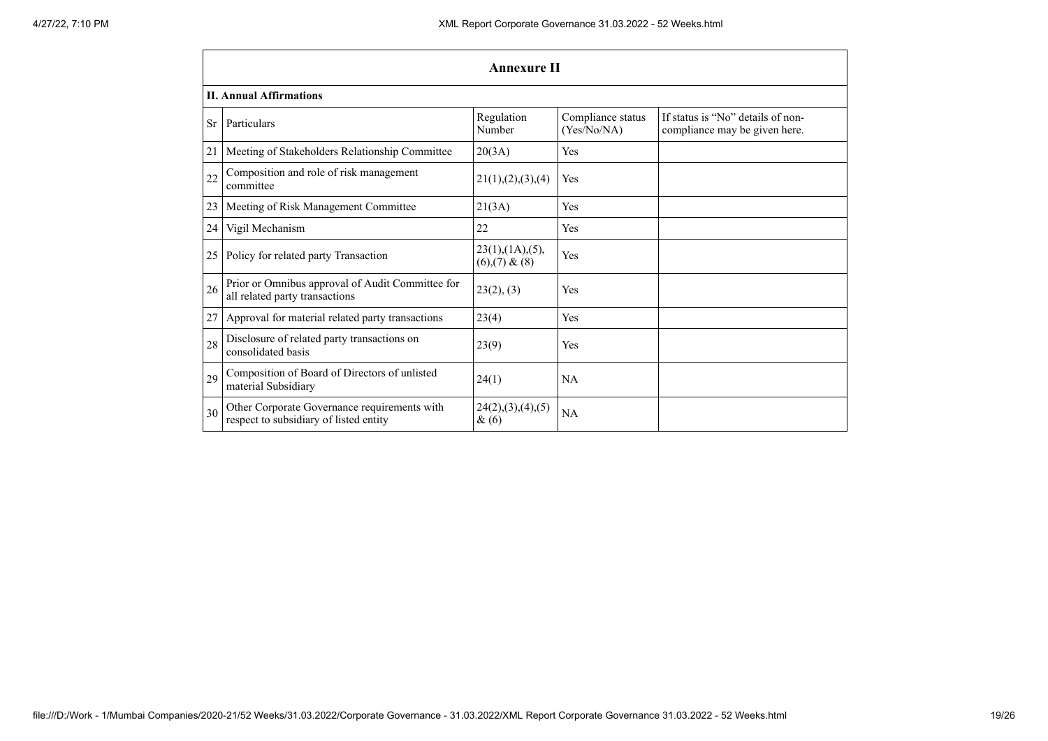|           | <b>Annexure II</b>                                                                     |                                                |                                  |                                                                    |  |
|-----------|----------------------------------------------------------------------------------------|------------------------------------------------|----------------------------------|--------------------------------------------------------------------|--|
|           | <b>II. Annual Affirmations</b>                                                         |                                                |                                  |                                                                    |  |
| <b>Sr</b> | Particulars                                                                            | Regulation<br>Number                           | Compliance status<br>(Yes/No/NA) | If status is "No" details of non-<br>compliance may be given here. |  |
| 21        | Meeting of Stakeholders Relationship Committee                                         | 20(3A)                                         | Yes                              |                                                                    |  |
| 22        | Composition and role of risk management<br>committee                                   | 21(1), (2), (3), (4)                           | Yes                              |                                                                    |  |
| 23        | Meeting of Risk Management Committee                                                   | 21(3A)                                         | Yes                              |                                                                    |  |
| 24        | Vigil Mechanism                                                                        | 22                                             | Yes                              |                                                                    |  |
| 25        | Policy for related party Transaction                                                   | $23(1)$ , $(1A)$ , $(5)$ ,<br>$(6)(7)$ & $(8)$ | Yes                              |                                                                    |  |
| 26        | Prior or Omnibus approval of Audit Committee for<br>all related party transactions     | 23(2), (3)                                     | Yes                              |                                                                    |  |
| 27        | Approval for material related party transactions                                       | 23(4)                                          | Yes                              |                                                                    |  |
| 28        | Disclosure of related party transactions on<br>consolidated basis                      | 23(9)                                          | Yes                              |                                                                    |  |
| 29        | Composition of Board of Directors of unlisted<br>material Subsidiary                   | 24(1)                                          | NA                               |                                                                    |  |
| 30        | Other Corporate Governance requirements with<br>respect to subsidiary of listed entity | 24(2),(3),(4),(5)<br>$\&(6)$                   | NA                               |                                                                    |  |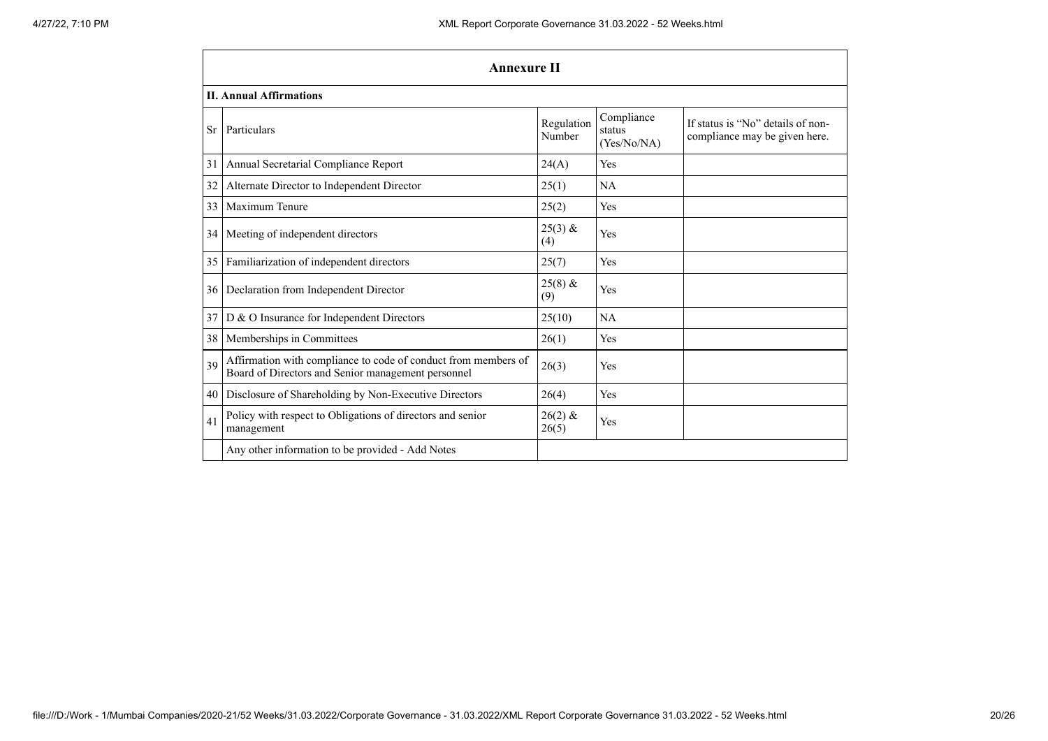|           | <b>Annexure II</b>                                                                                                   |                      |                                     |                                                                    |
|-----------|----------------------------------------------------------------------------------------------------------------------|----------------------|-------------------------------------|--------------------------------------------------------------------|
|           | <b>II. Annual Affirmations</b>                                                                                       |                      |                                     |                                                                    |
| <b>Sr</b> | Particulars                                                                                                          | Regulation<br>Number | Compliance<br>status<br>(Yes/No/NA) | If status is "No" details of non-<br>compliance may be given here. |
| 31        | Annual Secretarial Compliance Report                                                                                 | 24(A)                | Yes                                 |                                                                    |
| 32        | Alternate Director to Independent Director                                                                           | 25(1)                | <b>NA</b>                           |                                                                    |
| 33        | Maximum Tenure                                                                                                       | 25(2)                | Yes                                 |                                                                    |
| 34        | Meeting of independent directors                                                                                     | $25(3)$ &<br>(4)     | Yes                                 |                                                                    |
| 35        | Familiarization of independent directors                                                                             | 25(7)                | Yes                                 |                                                                    |
| 36        | Declaration from Independent Director                                                                                | $25(8)$ &<br>(9)     | Yes                                 |                                                                    |
| 37        | D & O Insurance for Independent Directors                                                                            | 25(10)               | <b>NA</b>                           |                                                                    |
| 38        | Memberships in Committees                                                                                            | 26(1)                | Yes                                 |                                                                    |
| 39        | Affirmation with compliance to code of conduct from members of<br>Board of Directors and Senior management personnel | 26(3)                | Yes                                 |                                                                    |
| 40        | Disclosure of Shareholding by Non-Executive Directors                                                                | 26(4)                | Yes                                 |                                                                    |
| 41        | Policy with respect to Obligations of directors and senior<br>management                                             | $26(2)$ &<br>26(5)   | Yes                                 |                                                                    |
|           | Any other information to be provided - Add Notes                                                                     |                      |                                     |                                                                    |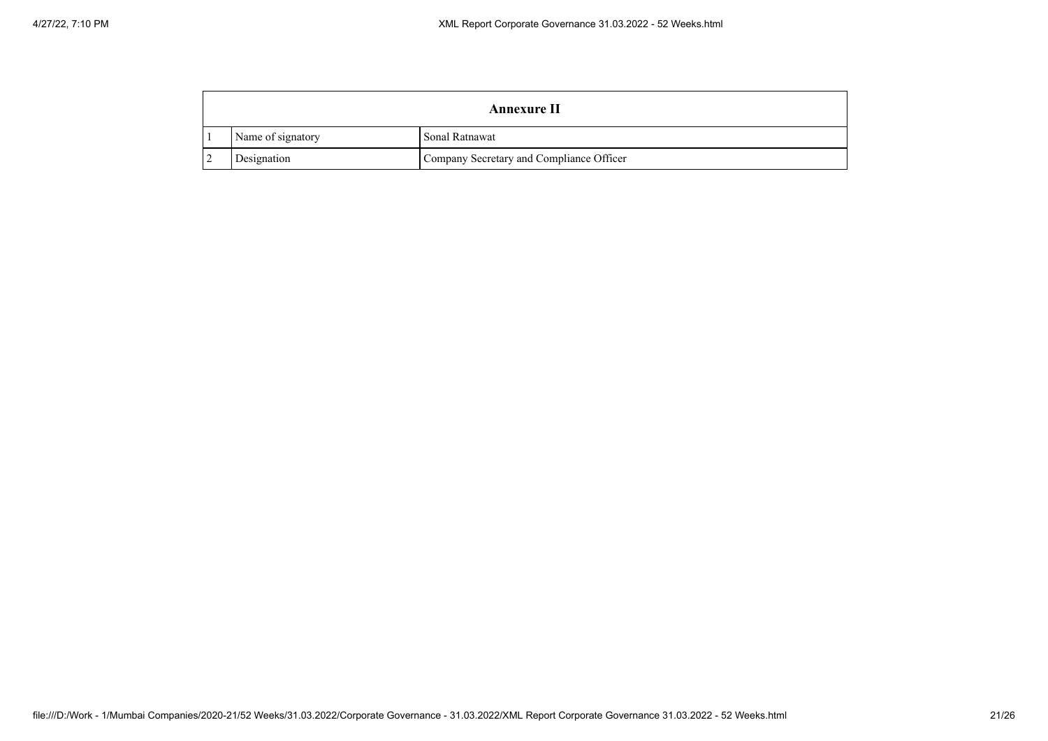| <b>Annexure II</b> |                                          |  |  |  |
|--------------------|------------------------------------------|--|--|--|
| Name of signatory  | Sonal Ratnawat                           |  |  |  |
| Designation        | Company Secretary and Compliance Officer |  |  |  |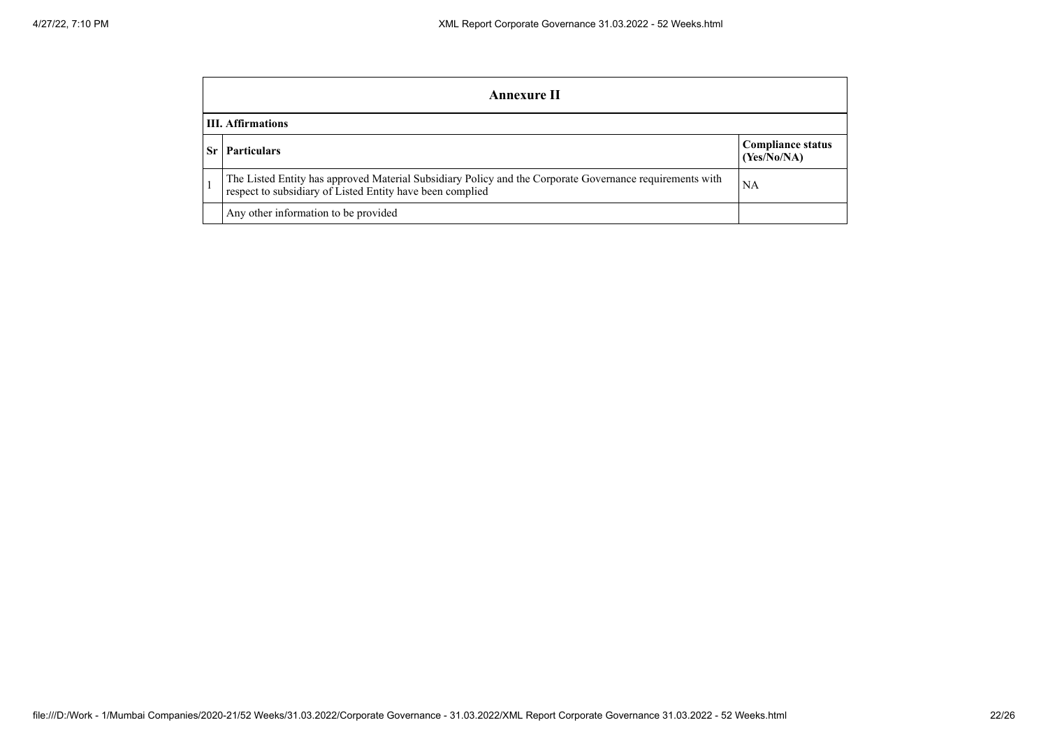| Annexure II                                                                                                                                                           |                                         |  |  |
|-----------------------------------------------------------------------------------------------------------------------------------------------------------------------|-----------------------------------------|--|--|
| <b>III.</b> Affirmations                                                                                                                                              |                                         |  |  |
| <b>Particulars</b>                                                                                                                                                    | <b>Compliance status</b><br>(Yes/No/NA) |  |  |
| The Listed Entity has approved Material Subsidiary Policy and the Corporate Governance requirements with<br>respect to subsidiary of Listed Entity have been complied | NA                                      |  |  |
| Any other information to be provided                                                                                                                                  |                                         |  |  |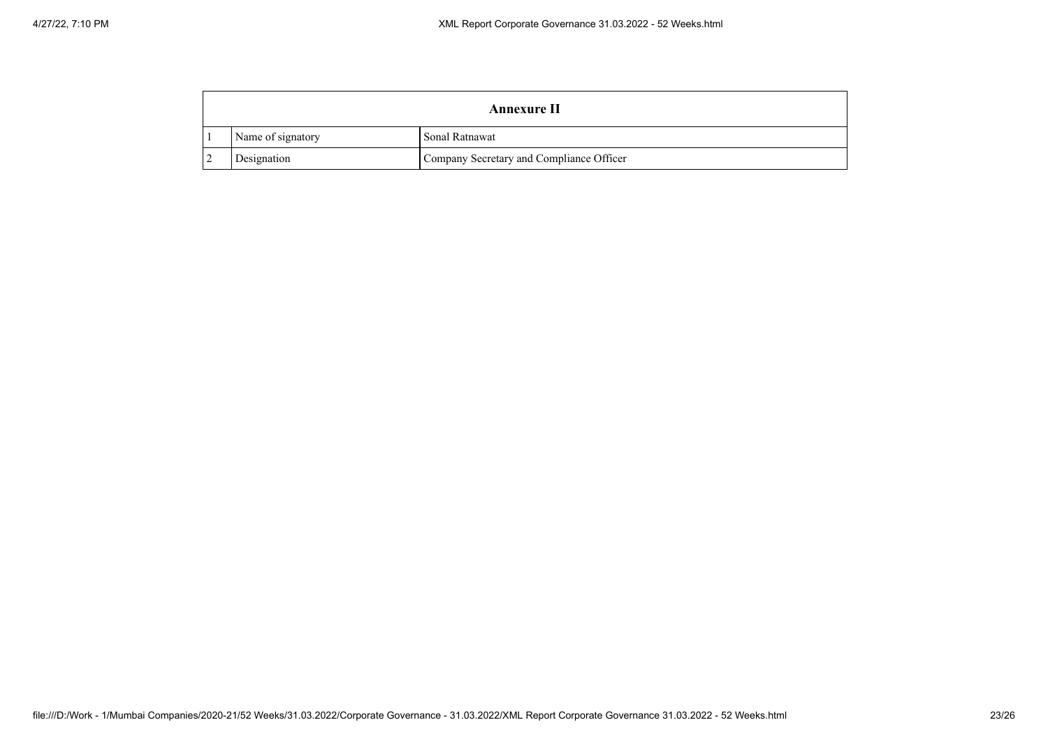| <b>Annexure II</b> |                                          |  |  |  |
|--------------------|------------------------------------------|--|--|--|
| Name of signatory  | Sonal Ratnawat                           |  |  |  |
| Designation        | Company Secretary and Compliance Officer |  |  |  |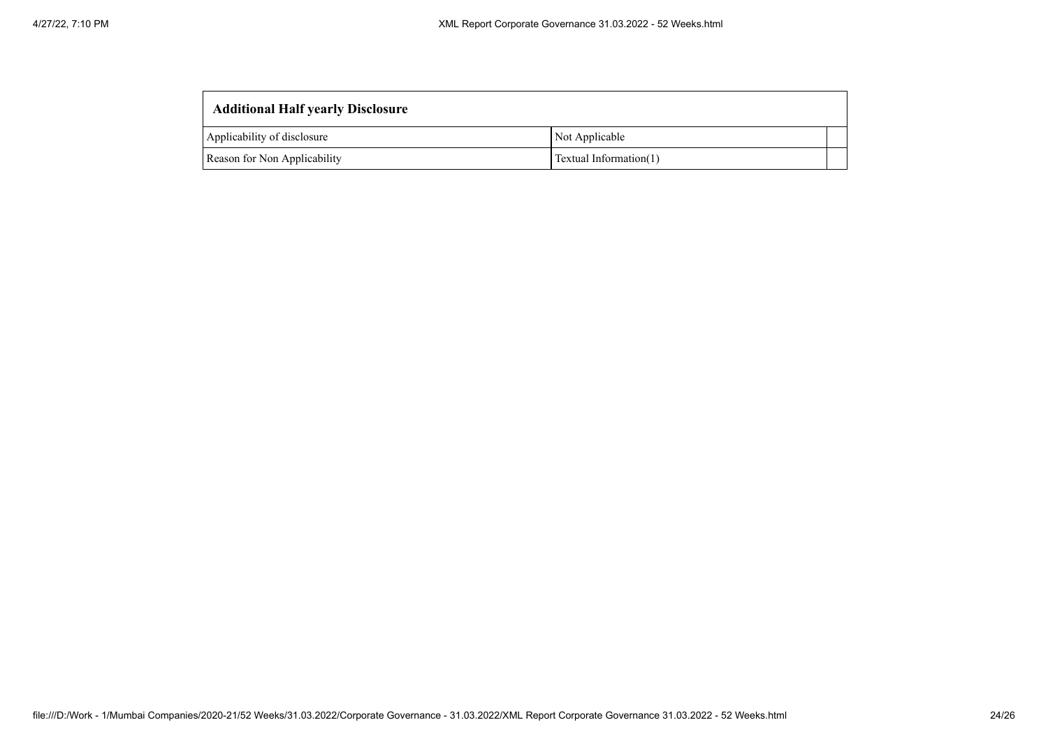| <b>Additional Half yearly Disclosure</b> |                        |  |
|------------------------------------------|------------------------|--|
| Applicability of disclosure              | Not Applicable         |  |
| Reason for Non Applicability             | Textual Information(1) |  |